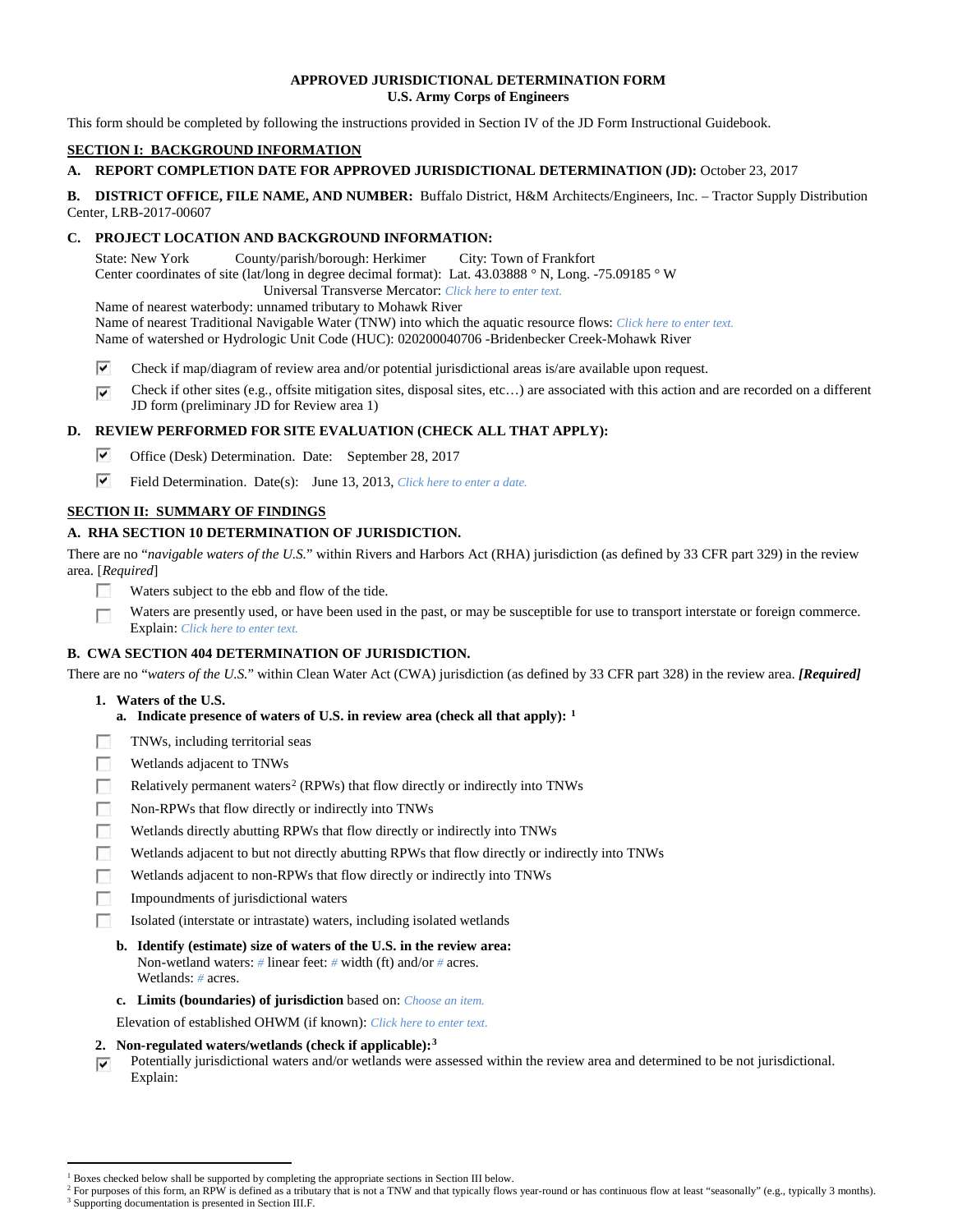### **APPROVED JURISDICTIONAL DETERMINATION FORM U.S. Army Corps of Engineers**

This form should be completed by following the instructions provided in Section IV of the JD Form Instructional Guidebook.

### **SECTION I: BACKGROUND INFORMATION**

### **A. REPORT COMPLETION DATE FOR APPROVED JURISDICTIONAL DETERMINATION (JD):** October 23, 2017

**B. DISTRICT OFFICE, FILE NAME, AND NUMBER:** Buffalo District, H&M Architects/Engineers, Inc. – Tractor Supply Distribution Center, LRB-2017-00607

### **C. PROJECT LOCATION AND BACKGROUND INFORMATION:**

State: New York County/parish/borough: Herkimer City: Town of Frankfort Center coordinates of site (lat/long in degree decimal format): Lat. 43.03888 ° N, Long. -75.09185 ° W Universal Transverse Mercator: *Click here to enter text.*

Name of nearest waterbody: unnamed tributary to Mohawk River

Name of nearest Traditional Navigable Water (TNW) into which the aquatic resource flows: *Click here to enter text.*

Name of watershed or Hydrologic Unit Code (HUC): 020200040706 -Bridenbecker Creek-Mohawk River

- ⊽ Check if map/diagram of review area and/or potential jurisdictional areas is/are available upon request.
- ⊽ Check if other sites (e.g., offsite mitigation sites, disposal sites, etc…) are associated with this action and are recorded on a different JD form (preliminary JD for Review area 1)

## **D. REVIEW PERFORMED FOR SITE EVALUATION (CHECK ALL THAT APPLY):**

- ⊽ Office (Desk) Determination. Date: September 28, 2017
- $\overline{\mathbf{v}}$ Field Determination. Date(s): June 13, 2013, *Click here to enter a date.*

# **SECTION II: SUMMARY OF FINDINGS**

# **A. RHA SECTION 10 DETERMINATION OF JURISDICTION.**

There are no "*navigable waters of the U.S.*" within Rivers and Harbors Act (RHA) jurisdiction (as defined by 33 CFR part 329) in the review area. [*Required*]

- 57 Waters subject to the ebb and flow of the tide.
- $\overline{a}$ Waters are presently used, or have been used in the past, or may be susceptible for use to transport interstate or foreign commerce. Explain: *Click here to enter text.*

### **B. CWA SECTION 404 DETERMINATION OF JURISDICTION.**

There are no "*waters of the U.S.*" within Clean Water Act (CWA) jurisdiction (as defined by 33 CFR part 328) in the review area. *[Required]*

- **1. Waters of the U.S.**
	- **a. Indicate presence of waters of U.S. in review area (check all that apply): [1](#page-0-0)**
- **R** TNWs, including territorial seas
- $\sim$ Wetlands adjacent to TNWs
- $\sim$ Relatively permanent waters<sup>[2](#page-0-1)</sup> (RPWs) that flow directly or indirectly into TNWs
- **Table** Non-RPWs that flow directly or indirectly into TNWs
- Wetlands directly abutting RPWs that flow directly or indirectly into TNWs
- Wetlands adjacent to but not directly abutting RPWs that flow directly or indirectly into TNWs  $\sim$
- $\sim$ Wetlands adjacent to non-RPWs that flow directly or indirectly into TNWs
- **FRI** Impoundments of jurisdictional waters
- Isolated (interstate or intrastate) waters, including isolated wetlands
	- **b. Identify (estimate) size of waters of the U.S. in the review area:** Non-wetland waters: *#* linear feet: *#* width (ft) and/or *#* acres. Wetlands: *#* acres.
	- **c. Limits (boundaries) of jurisdiction** based on: *Choose an item.*
- Elevation of established OHWM (if known): *Click here to enter text.*
- **2. Non-regulated waters/wetlands (check if applicable):[3](#page-0-2)**
- Potentially jurisdictional waters and/or wetlands were assessed within the review area and determined to be not jurisdictional. ⊽ Explain:

<sup>&</sup>lt;sup>1</sup> Boxes checked below shall be supported by completing the appropriate sections in Section III below.

<span id="page-0-2"></span><span id="page-0-1"></span><span id="page-0-0"></span>For purposes of this form, an RPW is defined as a tributary that is not a TNW and that typically flows year-round or has continuous flow at least "seasonally" (e.g., typically 3 months). <sup>3</sup> Supporting documentation is presented in Section III.F.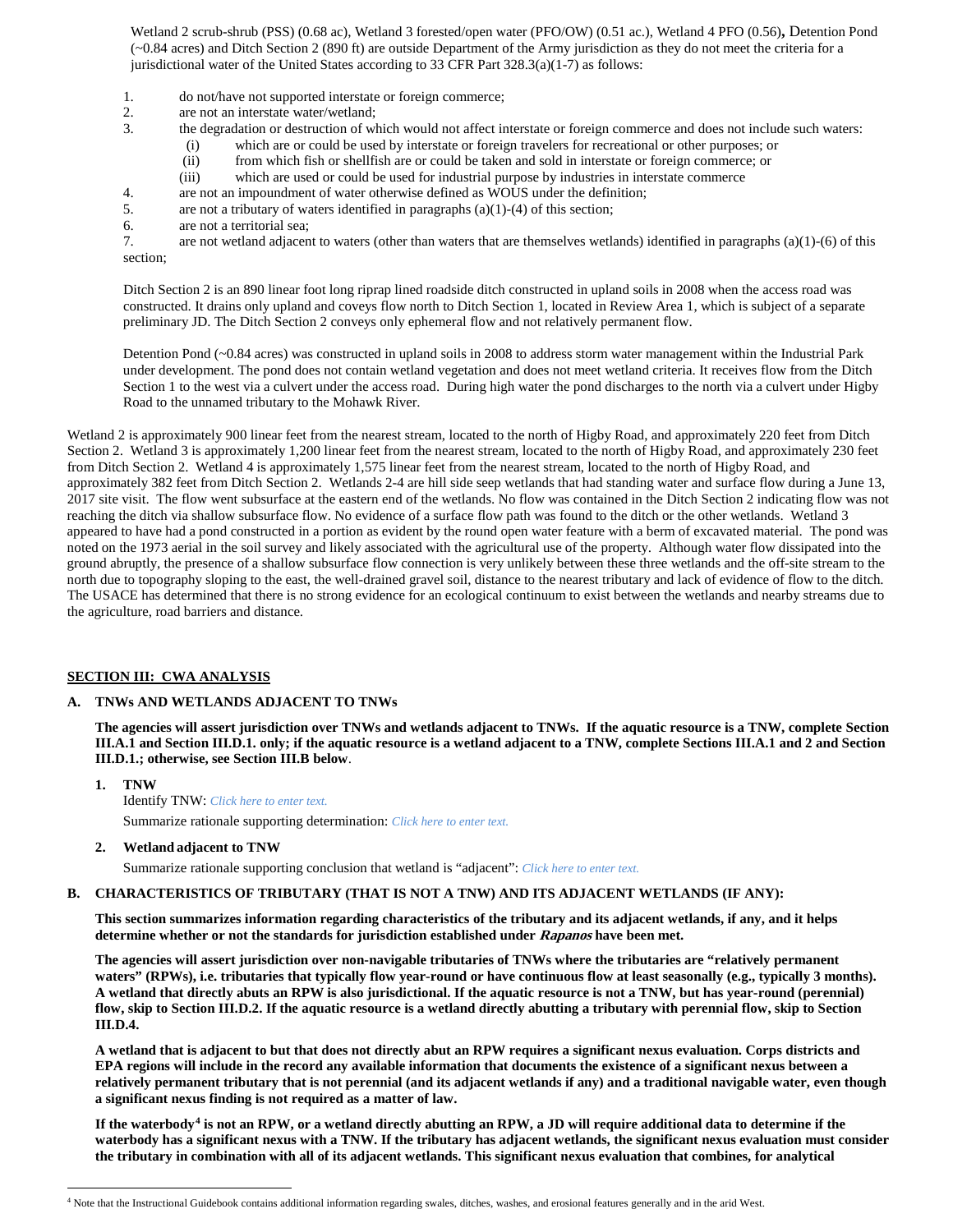Wetland 2 scrub-shrub (PSS) (0.68 ac), Wetland 3 forested/open water (PFO/OW) (0.51 ac.), Wetland 4 PFO (0.56)**,** Detention Pond (~0.84 acres) and Ditch Section 2 (890 ft) are outside Department of the Army jurisdiction as they do not meet the criteria for a jurisdictional water of the United States according to 33 CFR Part 328.3(a)(1-7) as follows:

- 1. do not/have not supported interstate or foreign commerce;
- 2. are not an interstate water/wetland;<br>3. the degradation or destruction of wh
	- 3. the degradation or destruction of which would not affect interstate or foreign commerce and does not include such waters:
		- (i) which are or could be used by interstate or foreign travelers for recreational or other purposes; or
		- (ii) from which fish or shellfish are or could be taken and sold in interstate or foreign commerce; or
		- (iii) which are used or could be used for industrial purpose by industries in interstate commerce
- 4. are not an impoundment of water otherwise defined as WOUS under the definition;
- 5. are not a tributary of waters identified in paragraphs (a)(1)-(4) of this section;
- 6. are not a territorial sea;

7. are not wetland adjacent to waters (other than waters that are themselves wetlands) identified in paragraphs (a)(1)-(6) of this section;

Ditch Section 2 is an 890 linear foot long riprap lined roadside ditch constructed in upland soils in 2008 when the access road was constructed. It drains only upland and coveys flow north to Ditch Section 1, located in Review Area 1, which is subject of a separate preliminary JD. The Ditch Section 2 conveys only ephemeral flow and not relatively permanent flow.

Detention Pond (~0.84 acres) was constructed in upland soils in 2008 to address storm water management within the Industrial Park under development. The pond does not contain wetland vegetation and does not meet wetland criteria. It receives flow from the Ditch Section 1 to the west via a culvert under the access road. During high water the pond discharges to the north via a culvert under Higby Road to the unnamed tributary to the Mohawk River.

Wetland 2 is approximately 900 linear feet from the nearest stream, located to the north of Higby Road, and approximately 220 feet from Ditch Section 2. Wetland 3 is approximately 1,200 linear feet from the nearest stream, located to the north of Higby Road, and approximately 230 feet from Ditch Section 2. Wetland 4 is approximately 1,575 linear feet from the nearest stream, located to the north of Higby Road, and approximately 382 feet from Ditch Section 2. Wetlands 2-4 are hill side seep wetlands that had standing water and surface flow during a June 13, 2017 site visit. The flow went subsurface at the eastern end of the wetlands. No flow was contained in the Ditch Section 2 indicating flow was not reaching the ditch via shallow subsurface flow. No evidence of a surface flow path was found to the ditch or the other wetlands. Wetland 3 appeared to have had a pond constructed in a portion as evident by the round open water feature with a berm of excavated material. The pond was noted on the 1973 aerial in the soil survey and likely associated with the agricultural use of the property. Although water flow dissipated into the ground abruptly, the presence of a shallow subsurface flow connection is very unlikely between these three wetlands and the off-site stream to the north due to topography sloping to the east, the well-drained gravel soil, distance to the nearest tributary and lack of evidence of flow to the ditch. The USACE has determined that there is no strong evidence for an ecological continuum to exist between the wetlands and nearby streams due to the agriculture, road barriers and distance.

### **SECTION III: CWA ANALYSIS**

#### **A. TNWs AND WETLANDS ADJACENT TO TNWs**

**The agencies will assert jurisdiction over TNWs and wetlands adjacent to TNWs. If the aquatic resource is a TNW, complete Section III.A.1 and Section III.D.1. only; if the aquatic resource is a wetland adjacent to a TNW, complete Sections III.A.1 and 2 and Section III.D.1.; otherwise, see Section III.B below**.

- **1. TNW**  Identify TNW: *Click here to enter text.* Summarize rationale supporting determination: *Click here to enter text.*
- **2. Wetland adjacent to TNW**

Summarize rationale supporting conclusion that wetland is "adjacent": *Click here to enter text.*

#### **B. CHARACTERISTICS OF TRIBUTARY (THAT IS NOT A TNW) AND ITS ADJACENT WETLANDS (IF ANY):**

**This section summarizes information regarding characteristics of the tributary and its adjacent wetlands, if any, and it helps determine whether or not the standards for jurisdiction established under Rapanos have been met.** 

**The agencies will assert jurisdiction over non-navigable tributaries of TNWs where the tributaries are "relatively permanent waters" (RPWs), i.e. tributaries that typically flow year-round or have continuous flow at least seasonally (e.g., typically 3 months). A wetland that directly abuts an RPW is also jurisdictional. If the aquatic resource is not a TNW, but has year-round (perennial) flow, skip to Section III.D.2. If the aquatic resource is a wetland directly abutting a tributary with perennial flow, skip to Section III.D.4.**

**A wetland that is adjacent to but that does not directly abut an RPW requires a significant nexus evaluation. Corps districts and EPA regions will include in the record any available information that documents the existence of a significant nexus between a relatively permanent tributary that is not perennial (and its adjacent wetlands if any) and a traditional navigable water, even though a significant nexus finding is not required as a matter of law.**

**If the waterbody[4](#page-1-0) is not an RPW, or a wetland directly abutting an RPW, a JD will require additional data to determine if the waterbody has a significant nexus with a TNW. If the tributary has adjacent wetlands, the significant nexus evaluation must consider the tributary in combination with all of its adjacent wetlands. This significant nexus evaluation that combines, for analytical** 

<span id="page-1-0"></span> <sup>4</sup> Note that the Instructional Guidebook contains additional information regarding swales, ditches, washes, and erosional features generally and in the arid West.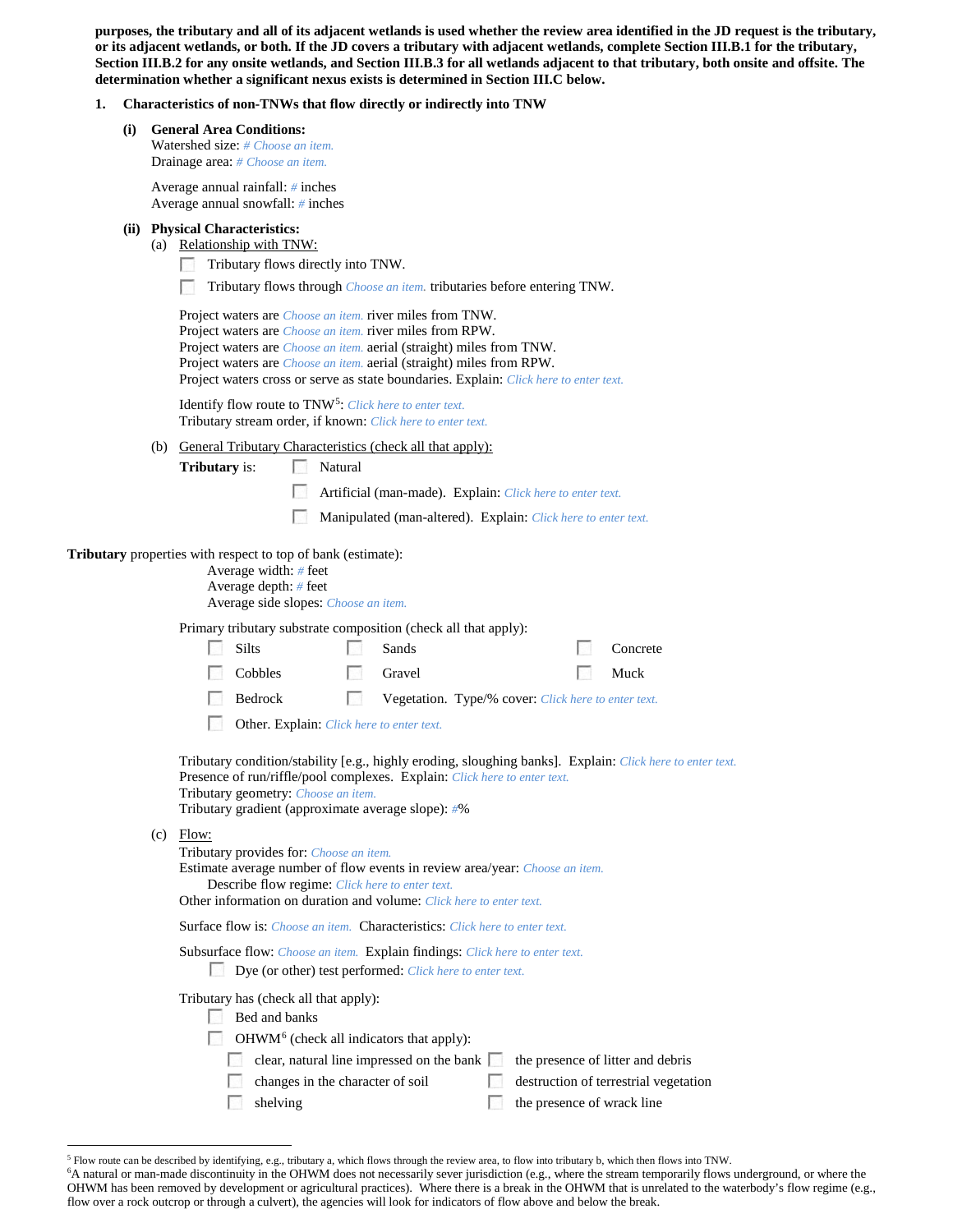**purposes, the tributary and all of its adjacent wetlands is used whether the review area identified in the JD request is the tributary, or its adjacent wetlands, or both. If the JD covers a tributary with adjacent wetlands, complete Section III.B.1 for the tributary, Section III.B.2 for any onsite wetlands, and Section III.B.3 for all wetlands adjacent to that tributary, both onsite and offsite. The determination whether a significant nexus exists is determined in Section III.C below.**

### **1. Characteristics of non-TNWs that flow directly or indirectly into TNW**

| (i)                                                                                                                                      |                                                                                                                                                                                                                                                                                                                                                                                            | <b>General Area Conditions:</b><br><b>Watershed size:</b> # Choose an item.<br>Drainage area: # Choose an item.                                                                                                                                                                                                                |  |  |  |  |
|------------------------------------------------------------------------------------------------------------------------------------------|--------------------------------------------------------------------------------------------------------------------------------------------------------------------------------------------------------------------------------------------------------------------------------------------------------------------------------------------------------------------------------------------|--------------------------------------------------------------------------------------------------------------------------------------------------------------------------------------------------------------------------------------------------------------------------------------------------------------------------------|--|--|--|--|
|                                                                                                                                          |                                                                                                                                                                                                                                                                                                                                                                                            | Average annual rainfall: $#$ inches<br>Average annual snowfall: $#$ inches                                                                                                                                                                                                                                                     |  |  |  |  |
|                                                                                                                                          |                                                                                                                                                                                                                                                                                                                                                                                            | (ii) Physical Characteristics:<br>(a) Relationship with TNW:<br>Tributary flows directly into TNW.<br>Tributary flows through <i>Choose an item</i> . tributaries before entering TNW.                                                                                                                                         |  |  |  |  |
|                                                                                                                                          | Project waters are <i>Choose an item.</i> river miles from TNW.<br>Project waters are <i>Choose an item</i> . river miles from RPW.<br>Project waters are <i>Choose an item.</i> aerial (straight) miles from TNW.<br>Project waters are <i>Choose an item.</i> aerial (straight) miles from RPW.<br>Project waters cross or serve as state boundaries. Explain: Click here to enter text. |                                                                                                                                                                                                                                                                                                                                |  |  |  |  |
|                                                                                                                                          | Identify flow route to TNW <sup>5</sup> : Click here to enter text.<br>Tributary stream order, if known: Click here to enter text.                                                                                                                                                                                                                                                         |                                                                                                                                                                                                                                                                                                                                |  |  |  |  |
|                                                                                                                                          |                                                                                                                                                                                                                                                                                                                                                                                            | (b) General Tributary Characteristics (check all that apply):                                                                                                                                                                                                                                                                  |  |  |  |  |
|                                                                                                                                          |                                                                                                                                                                                                                                                                                                                                                                                            | <b>Tributary</b> is:<br>Natural                                                                                                                                                                                                                                                                                                |  |  |  |  |
|                                                                                                                                          |                                                                                                                                                                                                                                                                                                                                                                                            | Artificial (man-made). Explain: Click here to enter text.                                                                                                                                                                                                                                                                      |  |  |  |  |
|                                                                                                                                          |                                                                                                                                                                                                                                                                                                                                                                                            | Manipulated (man-altered). Explain: Click here to enter text.                                                                                                                                                                                                                                                                  |  |  |  |  |
|                                                                                                                                          |                                                                                                                                                                                                                                                                                                                                                                                            | <b>Tributary</b> properties with respect to top of bank (estimate):<br>Average width: $#$ feet                                                                                                                                                                                                                                 |  |  |  |  |
|                                                                                                                                          |                                                                                                                                                                                                                                                                                                                                                                                            | Average depth: # feet<br>Average side slopes: Choose an item.                                                                                                                                                                                                                                                                  |  |  |  |  |
|                                                                                                                                          |                                                                                                                                                                                                                                                                                                                                                                                            | Primary tributary substrate composition (check all that apply):                                                                                                                                                                                                                                                                |  |  |  |  |
|                                                                                                                                          |                                                                                                                                                                                                                                                                                                                                                                                            | Silts<br>Sands<br>Concrete<br>SТ                                                                                                                                                                                                                                                                                               |  |  |  |  |
|                                                                                                                                          |                                                                                                                                                                                                                                                                                                                                                                                            | Cobbles<br><b>Ball</b><br>Gravel<br>Muck                                                                                                                                                                                                                                                                                       |  |  |  |  |
|                                                                                                                                          |                                                                                                                                                                                                                                                                                                                                                                                            | Bedrock<br>$\overline{a}$<br>Vegetation. Type/% cover: Click here to enter text.                                                                                                                                                                                                                                               |  |  |  |  |
|                                                                                                                                          |                                                                                                                                                                                                                                                                                                                                                                                            | H<br>Other. Explain: Click here to enter text.                                                                                                                                                                                                                                                                                 |  |  |  |  |
|                                                                                                                                          |                                                                                                                                                                                                                                                                                                                                                                                            | Tributary condition/stability [e.g., highly eroding, sloughing banks]. Explain: Click here to enter text.<br>Presence of run/riffle/pool complexes. Explain: Click here to enter text.<br>Tributary geometry: Choose an item.<br>Tributary gradient (approximate average slope): #%                                            |  |  |  |  |
|                                                                                                                                          | $(c)$ Flow:<br>Tributary provides for: Choose an item.<br>Estimate average number of flow events in review area/year: Choose an item.<br>Describe flow regime: Click here to enter text.<br>Other information on duration and volume: Click here to enter text.<br><b>Surface flow is:</b> <i>Choose an item.</i> <b>Characteristics:</b> <i>Click here to enter text.</i>                 |                                                                                                                                                                                                                                                                                                                                |  |  |  |  |
|                                                                                                                                          |                                                                                                                                                                                                                                                                                                                                                                                            |                                                                                                                                                                                                                                                                                                                                |  |  |  |  |
| Subsurface flow: Choose an item. Explain findings: Click here to enter text.<br>Dye (or other) test performed: Click here to enter text. |                                                                                                                                                                                                                                                                                                                                                                                            |                                                                                                                                                                                                                                                                                                                                |  |  |  |  |
|                                                                                                                                          |                                                                                                                                                                                                                                                                                                                                                                                            | Tributary has (check all that apply):<br>Bed and banks<br>OHWM <sup>6</sup> (check all indicators that apply):<br>clear, natural line impressed on the bank $\Box$<br>the presence of litter and debris<br>changes in the character of soil<br>destruction of terrestrial vegetation<br>shelving<br>the presence of wrack line |  |  |  |  |

<span id="page-2-0"></span> <sup>5</sup> Flow route can be described by identifying, e.g., tributary a, which flows through the review area, to flow into tributary b, which then flows into TNW.

<span id="page-2-1"></span><sup>6</sup> A natural or man-made discontinuity in the OHWM does not necessarily sever jurisdiction (e.g., where the stream temporarily flows underground, or where the OHWM has been removed by development or agricultural practices). Where there is a break in the OHWM that is unrelated to the waterbody's flow regime (e.g., flow over a rock outcrop or through a culvert), the agencies will look for indicators of flow above and below the break.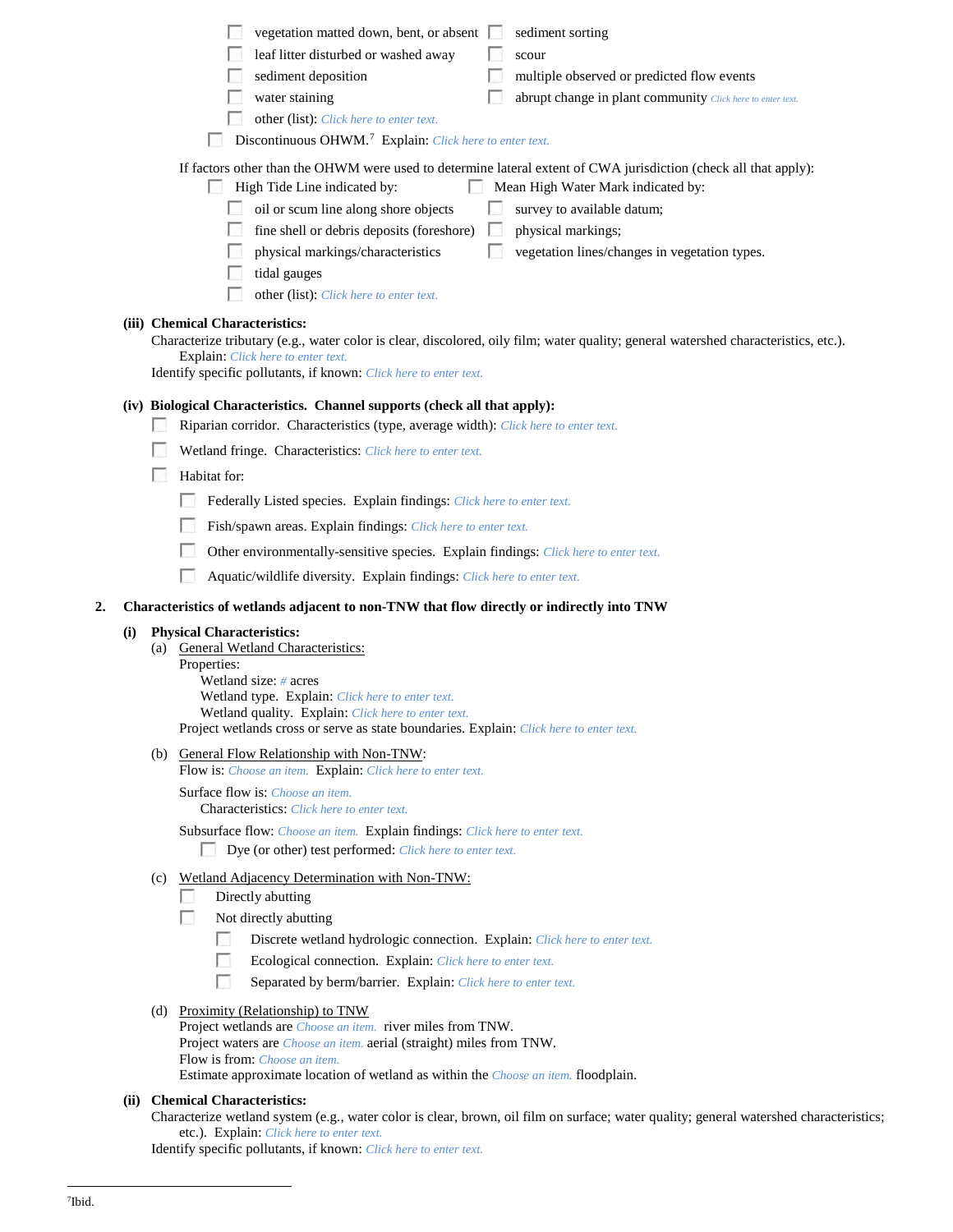|    |     | vegetation matted down, bent, or absent<br>sediment sorting<br>leaf litter disturbed or washed away<br>scour<br>sediment deposition<br>multiple observed or predicted flow events<br>water staining<br>abrupt change in plant community Click here to enter text.<br>other (list): Click here to enter text.<br>Discontinuous OHWM. <sup>7</sup> Explain: Click here to enter text.<br>If factors other than the OHWM were used to determine lateral extent of CWA jurisdiction (check all that apply):<br>High Tide Line indicated by:<br>Mean High Water Mark indicated by:<br><b>I</b> SI<br>oil or scum line along shore objects<br>survey to available datum;<br>fine shell or debris deposits (foreshore)<br>physical markings;<br><b>Ball</b><br><b>To a</b><br>physical markings/characteristics<br>vegetation lines/changes in vegetation types.<br>tidal gauges<br>other (list): Click here to enter text. |
|----|-----|----------------------------------------------------------------------------------------------------------------------------------------------------------------------------------------------------------------------------------------------------------------------------------------------------------------------------------------------------------------------------------------------------------------------------------------------------------------------------------------------------------------------------------------------------------------------------------------------------------------------------------------------------------------------------------------------------------------------------------------------------------------------------------------------------------------------------------------------------------------------------------------------------------------------|
|    |     | (iii) Chemical Characteristics:                                                                                                                                                                                                                                                                                                                                                                                                                                                                                                                                                                                                                                                                                                                                                                                                                                                                                      |
|    |     | Characterize tributary (e.g., water color is clear, discolored, oily film; water quality; general watershed characteristics, etc.).<br>Explain: Click here to enter text.<br>Identify specific pollutants, if known: Click here to enter text.                                                                                                                                                                                                                                                                                                                                                                                                                                                                                                                                                                                                                                                                       |
|    |     | (iv) Biological Characteristics. Channel supports (check all that apply):                                                                                                                                                                                                                                                                                                                                                                                                                                                                                                                                                                                                                                                                                                                                                                                                                                            |
|    |     | Riparian corridor. Characteristics (type, average width): Click here to enter text.                                                                                                                                                                                                                                                                                                                                                                                                                                                                                                                                                                                                                                                                                                                                                                                                                                  |
|    |     | Wetland fringe. Characteristics: Click here to enter text.                                                                                                                                                                                                                                                                                                                                                                                                                                                                                                                                                                                                                                                                                                                                                                                                                                                           |
|    |     | Habitat for:                                                                                                                                                                                                                                                                                                                                                                                                                                                                                                                                                                                                                                                                                                                                                                                                                                                                                                         |
|    |     |                                                                                                                                                                                                                                                                                                                                                                                                                                                                                                                                                                                                                                                                                                                                                                                                                                                                                                                      |
|    |     | Federally Listed species. Explain findings: Click here to enter text.                                                                                                                                                                                                                                                                                                                                                                                                                                                                                                                                                                                                                                                                                                                                                                                                                                                |
|    |     | Fish/spawn areas. Explain findings: Click here to enter text.                                                                                                                                                                                                                                                                                                                                                                                                                                                                                                                                                                                                                                                                                                                                                                                                                                                        |
|    |     | Other environmentally-sensitive species. Explain findings: Click here to enter text.                                                                                                                                                                                                                                                                                                                                                                                                                                                                                                                                                                                                                                                                                                                                                                                                                                 |
|    |     | Aquatic/wildlife diversity. Explain findings: Click here to enter text.                                                                                                                                                                                                                                                                                                                                                                                                                                                                                                                                                                                                                                                                                                                                                                                                                                              |
| 2. |     | Characteristics of wetlands adjacent to non-TNW that flow directly or indirectly into TNW                                                                                                                                                                                                                                                                                                                                                                                                                                                                                                                                                                                                                                                                                                                                                                                                                            |
|    | (i) | <b>Physical Characteristics:</b><br>(a) General Wetland Characteristics:<br>Properties:<br>Wetland size: $# \, \text{acres}$<br>Wetland type. Explain: Click here to enter text.<br>Wetland quality. Explain: Click here to enter text.<br>Project wetlands cross or serve as state boundaries. Explain: Click here to enter text.                                                                                                                                                                                                                                                                                                                                                                                                                                                                                                                                                                                   |
|    |     | (b) General Flow Relationship with Non-TNW:<br>Flow is: Choose an item. Explain: Click here to enter text.                                                                                                                                                                                                                                                                                                                                                                                                                                                                                                                                                                                                                                                                                                                                                                                                           |
|    |     | <b>Surface flow is:</b> <i>Choose an item.</i><br>Characteristics: Click here to enter text.                                                                                                                                                                                                                                                                                                                                                                                                                                                                                                                                                                                                                                                                                                                                                                                                                         |
|    |     | Subsurface flow: Choose an item. Explain findings: Click here to enter text.<br>Dye (or other) test performed: Click here to enter text.                                                                                                                                                                                                                                                                                                                                                                                                                                                                                                                                                                                                                                                                                                                                                                             |
|    |     | (c) Wetland Adjacency Determination with Non-TNW:                                                                                                                                                                                                                                                                                                                                                                                                                                                                                                                                                                                                                                                                                                                                                                                                                                                                    |
|    |     | Directly abutting                                                                                                                                                                                                                                                                                                                                                                                                                                                                                                                                                                                                                                                                                                                                                                                                                                                                                                    |
|    |     | Not directly abutting                                                                                                                                                                                                                                                                                                                                                                                                                                                                                                                                                                                                                                                                                                                                                                                                                                                                                                |
|    |     | <b>Fish</b><br>Discrete wetland hydrologic connection. Explain: Click here to enter text.                                                                                                                                                                                                                                                                                                                                                                                                                                                                                                                                                                                                                                                                                                                                                                                                                            |
|    |     | Ecological connection. Explain: Click here to enter text.                                                                                                                                                                                                                                                                                                                                                                                                                                                                                                                                                                                                                                                                                                                                                                                                                                                            |
|    |     |                                                                                                                                                                                                                                                                                                                                                                                                                                                                                                                                                                                                                                                                                                                                                                                                                                                                                                                      |

Separated by berm/barrier. Explain: *Click here to enter text.*

# (d) Proximity (Relationship) to TNW

- Project wetlands are *Choose an item.* river miles from TNW. Project waters are *Choose an item.* aerial (straight) miles from TNW. Flow is from: *Choose an item.* Estimate approximate location of wetland as within the *Choose an item.* floodplain.
- <span id="page-3-0"></span>**(ii) Chemical Characteristics:**

Characterize wetland system (e.g., water color is clear, brown, oil film on surface; water quality; general watershed characteristics; etc.). Explain: *Click here to enter text.*

Identify specific pollutants, if known: *Click here to enter text.*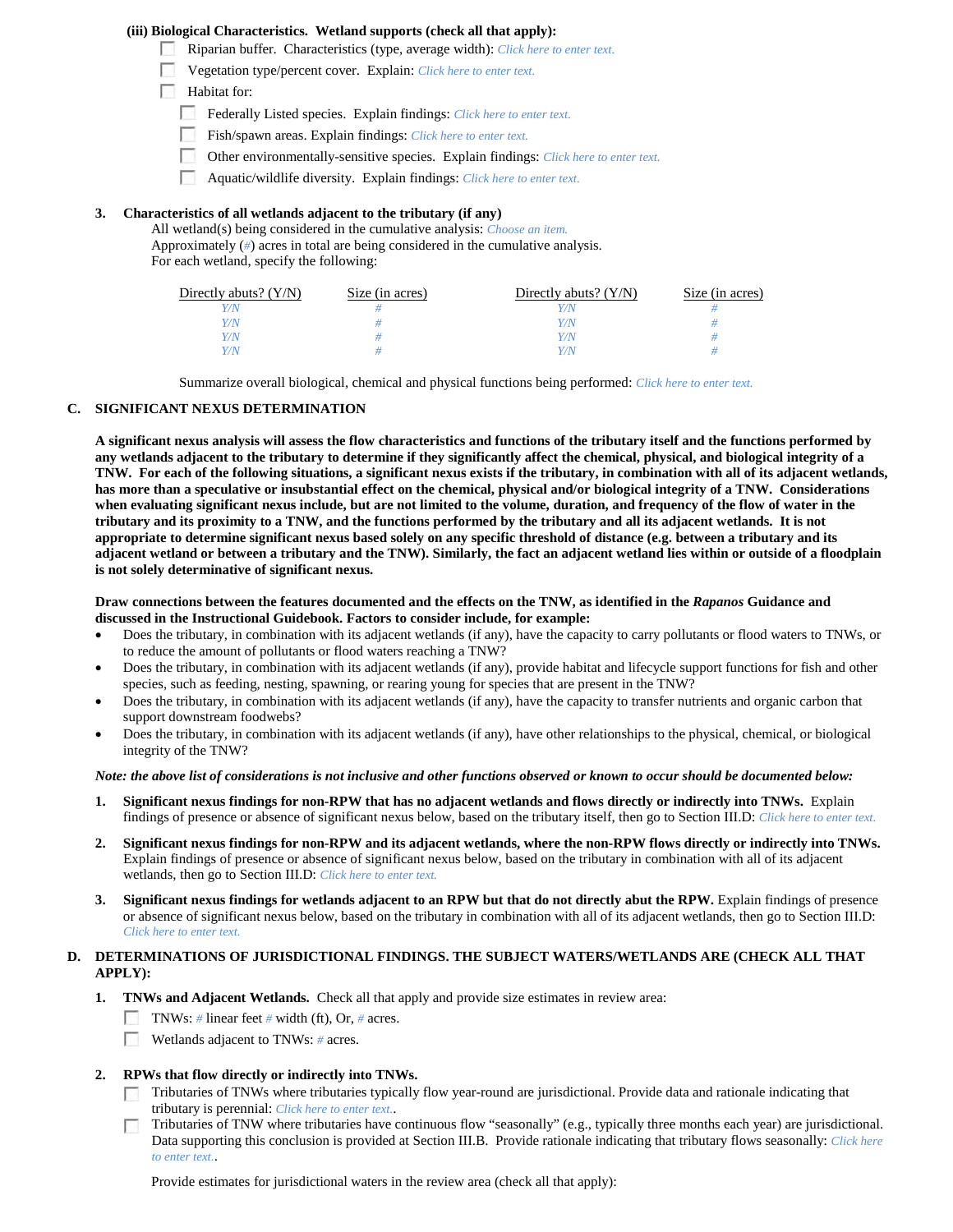### **(iii) Biological Characteristics. Wetland supports (check all that apply):**

- Riparian buffer. Characteristics (type, average width): *Click here to enter text.*
- Vegetation type/percent cover. Explain: *Click here to enter text.*
- $\Box$  Habitat for:
	- Federally Listed species. Explain findings: *Click here to enter text.*
	- Fish/spawn areas. Explain findings: *Click here to enter text.*
	- $\overline{a}$ Other environmentally-sensitive species. Explain findings: *Click here to enter text.*
	- $\mathcal{L}_{\rm eff}$ Aquatic/wildlife diversity. Explain findings: *Click here to enter text.*

### **3. Characteristics of all wetlands adjacent to the tributary (if any)**

All wetland(s) being considered in the cumulative analysis: *Choose an item.* Approximately (*#*) acres in total are being considered in the cumulative analysis. For each wetland, specify the following:

| Directly abuts? $(Y/N)$ | Size (in acres) | Directly abuts? $(Y/N)$ | Size (in acres) |
|-------------------------|-----------------|-------------------------|-----------------|
|                         |                 |                         |                 |
| Y/N                     |                 | Y/N                     |                 |
| Y/N                     |                 | Y / N                   |                 |
| V/N                     |                 | Y/N                     |                 |

Summarize overall biological, chemical and physical functions being performed: *Click here to enter text.*

### **C. SIGNIFICANT NEXUS DETERMINATION**

**A significant nexus analysis will assess the flow characteristics and functions of the tributary itself and the functions performed by any wetlands adjacent to the tributary to determine if they significantly affect the chemical, physical, and biological integrity of a TNW. For each of the following situations, a significant nexus exists if the tributary, in combination with all of its adjacent wetlands, has more than a speculative or insubstantial effect on the chemical, physical and/or biological integrity of a TNW. Considerations when evaluating significant nexus include, but are not limited to the volume, duration, and frequency of the flow of water in the tributary and its proximity to a TNW, and the functions performed by the tributary and all its adjacent wetlands. It is not appropriate to determine significant nexus based solely on any specific threshold of distance (e.g. between a tributary and its adjacent wetland or between a tributary and the TNW). Similarly, the fact an adjacent wetland lies within or outside of a floodplain is not solely determinative of significant nexus.** 

#### **Draw connections between the features documented and the effects on the TNW, as identified in the** *Rapanos* **Guidance and discussed in the Instructional Guidebook. Factors to consider include, for example:**

- Does the tributary, in combination with its adjacent wetlands (if any), have the capacity to carry pollutants or flood waters to TNWs, or to reduce the amount of pollutants or flood waters reaching a TNW?
- Does the tributary, in combination with its adjacent wetlands (if any), provide habitat and lifecycle support functions for fish and other species, such as feeding, nesting, spawning, or rearing young for species that are present in the TNW?
- Does the tributary, in combination with its adjacent wetlands (if any), have the capacity to transfer nutrients and organic carbon that support downstream foodwebs?
- Does the tributary, in combination with its adjacent wetlands (if any), have other relationships to the physical, chemical, or biological integrity of the TNW?

#### *Note: the above list of considerations is not inclusive and other functions observed or known to occur should be documented below:*

- **1. Significant nexus findings for non-RPW that has no adjacent wetlands and flows directly or indirectly into TNWs.** Explain findings of presence or absence of significant nexus below, based on the tributary itself, then go to Section III.D: *Click here to enter text.*
- **2. Significant nexus findings for non-RPW and its adjacent wetlands, where the non-RPW flows directly or indirectly into TNWs.**  Explain findings of presence or absence of significant nexus below, based on the tributary in combination with all of its adjacent wetlands, then go to Section III.D: *Click here to enter text.*
- **3. Significant nexus findings for wetlands adjacent to an RPW but that do not directly abut the RPW.** Explain findings of presence or absence of significant nexus below, based on the tributary in combination with all of its adjacent wetlands, then go to Section III.D: *Click here to enter text.*

### **D. DETERMINATIONS OF JURISDICTIONAL FINDINGS. THE SUBJECT WATERS/WETLANDS ARE (CHECK ALL THAT APPLY):**

- **1. TNWs and Adjacent Wetlands.** Check all that apply and provide size estimates in review area:
	- TNWs: *#* linear feet *#* width (ft), Or, *#* acres.
	- Wetlands adjacent to TNWs: # acres.
- **2. RPWs that flow directly or indirectly into TNWs.**
	- Tributaries of TNWs where tributaries typically flow year-round are jurisdictional. Provide data and rationale indicating that tributary is perennial: *Click here to enter text.*.
	- Tributaries of TNW where tributaries have continuous flow "seasonally" (e.g., typically three months each year) are jurisdictional. Data supporting this conclusion is provided at Section III.B. Provide rationale indicating that tributary flows seasonally: *Click here to enter text.*.

Provide estimates for jurisdictional waters in the review area (check all that apply):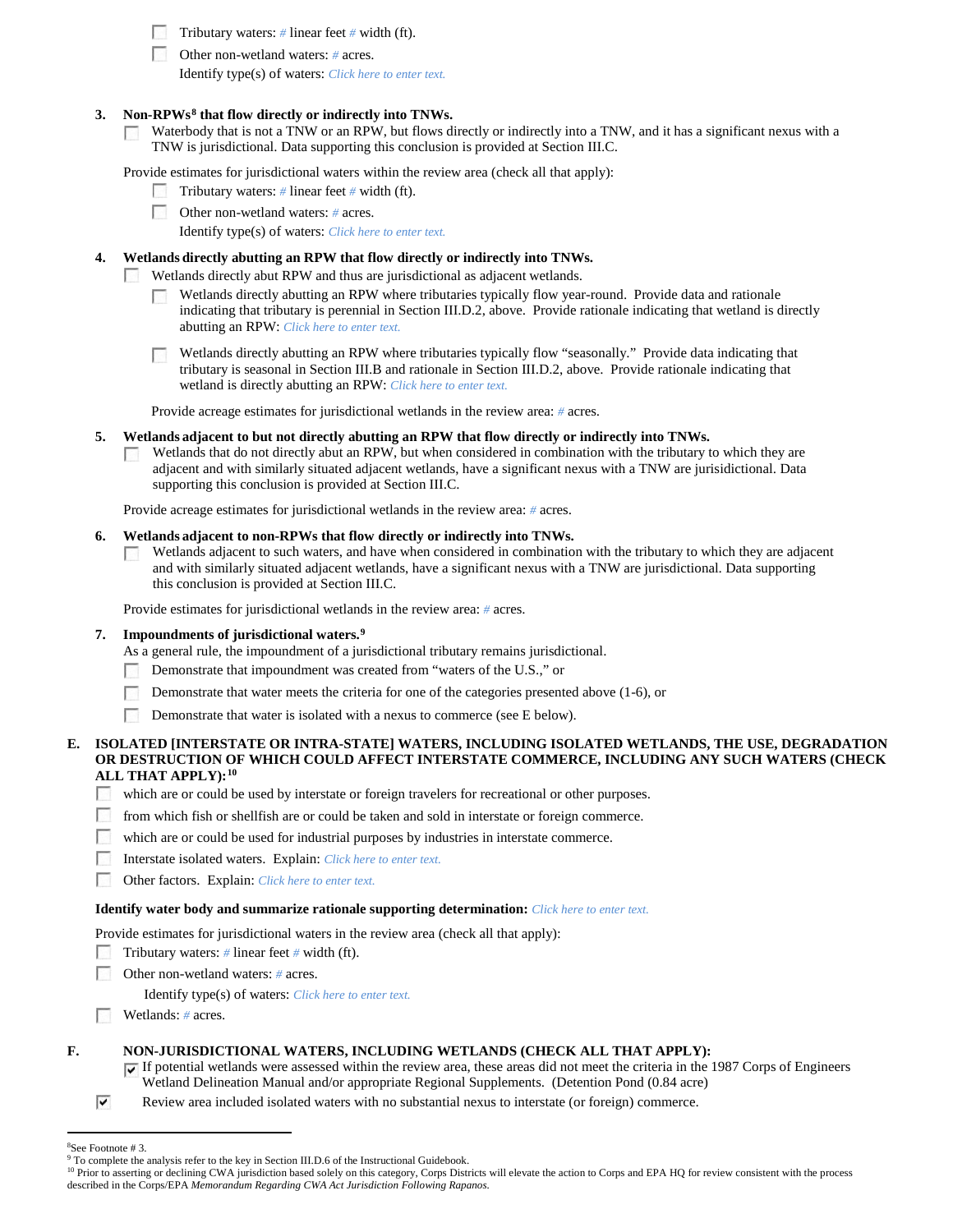Tributary waters: *#* linear feet *#* width (ft).

Other non-wetland waters: *#* acres.

Identify type(s) of waters: *Click here to enter text.*

#### **3. Non-RPWs[8](#page-5-0) that flow directly or indirectly into TNWs.**

Waterbody that is not a TNW or an RPW, but flows directly or indirectly into a TNW, and it has a significant nexus with a  $\sim 10$ TNW is jurisdictional. Data supporting this conclusion is provided at Section III.C.

Provide estimates for jurisdictional waters within the review area (check all that apply):

- Tributary waters: # linear feet # width (ft).
- Other non-wetland waters: *#* acres.

Identify type(s) of waters: *Click here to enter text.*

### **4. Wetlands directly abutting an RPW that flow directly or indirectly into TNWs.**

Wetlands directly abut RPW and thus are jurisdictional as adjacent wetlands.

- Wetlands directly abutting an RPW where tributaries typically flow year-round. Provide data and rationale indicating that tributary is perennial in Section III.D.2, above. Provide rationale indicating that wetland is directly abutting an RPW: *Click here to enter text.*
- Wetlands directly abutting an RPW where tributaries typically flow "seasonally." Provide data indicating that tributary is seasonal in Section III.B and rationale in Section III.D.2, above. Provide rationale indicating that wetland is directly abutting an RPW: *Click here to enter text.*

Provide acreage estimates for jurisdictional wetlands in the review area: *#* acres.

- **5. Wetlands adjacent to but not directly abutting an RPW that flow directly or indirectly into TNWs.**
	- Wetlands that do not directly abut an RPW, but when considered in combination with the tributary to which they are B. adjacent and with similarly situated adjacent wetlands, have a significant nexus with a TNW are jurisidictional. Data supporting this conclusion is provided at Section III.C.

Provide acreage estimates for jurisdictional wetlands in the review area: *#* acres.

#### **6. Wetlands adjacent to non-RPWs that flow directly or indirectly into TNWs.**

Wetlands adjacent to such waters, and have when considered in combination with the tributary to which they are adjacent **Barbara** and with similarly situated adjacent wetlands, have a significant nexus with a TNW are jurisdictional. Data supporting this conclusion is provided at Section III.C.

Provide estimates for jurisdictional wetlands in the review area: *#* acres.

#### **7. Impoundments of jurisdictional waters. [9](#page-5-1)**

As a general rule, the impoundment of a jurisdictional tributary remains jurisdictional.

- Demonstrate that impoundment was created from "waters of the U.S.," or **1999**
- Demonstrate that water meets the criteria for one of the categories presented above (1-6), or 79
- Demonstrate that water is isolated with a nexus to commerce (see  $E$  below).

### **E. ISOLATED [INTERSTATE OR INTRA-STATE] WATERS, INCLUDING ISOLATED WETLANDS, THE USE, DEGRADATION OR DESTRUCTION OF WHICH COULD AFFECT INTERSTATE COMMERCE, INCLUDING ANY SUCH WATERS (CHECK ALL THAT APPLY):[10](#page-5-2)**

- **1999** which are or could be used by interstate or foreign travelers for recreational or other purposes.
- $\mathcal{L}_{\rm{eff}}$ from which fish or shellfish are or could be taken and sold in interstate or foreign commerce.
- T which are or could be used for industrial purposes by industries in interstate commerce.
- г Interstate isolated waters.Explain: *Click here to enter text.*
- Г Other factors.Explain: *Click here to enter text.*

#### **Identify water body and summarize rationale supporting determination:** *Click here to enter text.*

Provide estimates for jurisdictional waters in the review area (check all that apply):

- Tributary waters:  $\#$  linear feet  $\#$  width (ft).
- **1999** Other non-wetland waters: *#* acres.

Identify type(s) of waters: *Click here to enter text.*

Wetlands: *#* acres.

#### **F. NON-JURISDICTIONAL WATERS, INCLUDING WETLANDS (CHECK ALL THAT APPLY):**

If potential wetlands were assessed within the review area, these areas did not meet the criteria in the 1987 Corps of Engineers Wetland Delineation Manual and/or appropriate Regional Supplements. (Detention Pond (0.84 acre)

 $\overline{\mathbf{v}}$ Review area included isolated waters with no substantial nexus to interstate (or foreign) commerce.

 $\frac{1}{8}$ See Footnote # 3.

<span id="page-5-1"></span><span id="page-5-0"></span><sup>&</sup>lt;sup>9</sup> To complete the analysis refer to the key in Section III.D.6 of the Instructional Guidebook.

<span id="page-5-2"></span><sup>&</sup>lt;sup>10</sup> Prior to asserting or declining CWA jurisdiction based solely on this category, Corps Districts will elevate the action to Corps and EPA HQ for review consistent with the process described in the Corps/EPA *Memorandum Regarding CWA Act Jurisdiction Following Rapanos.*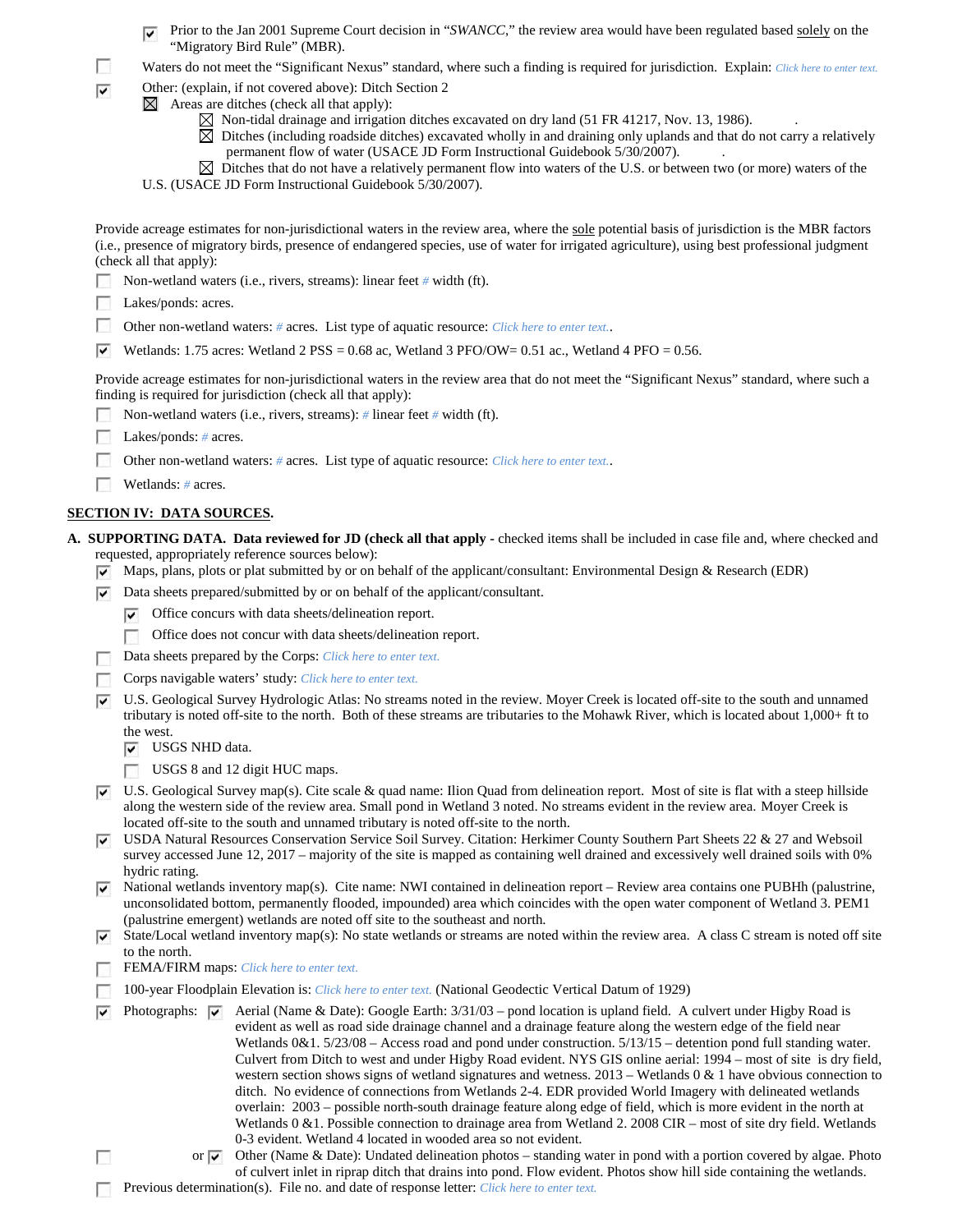- Prior to the Jan 2001 Supreme Court decision in "*SWANCC*," the review area would have been regulated based solely on the "Migratory Bird Rule" (MBR).
- $\mathcal{L}_{\mathcal{A}}$ Waters do not meet the "Significant Nexus" standard, where such a finding is required for jurisdiction. Explain: *Click here to enter text.*
- Other: (explain, if not covered above): Ditch Section 2  $\overline{\mathbf{v}}$ 
	- $\boxtimes$  Areas are ditches (check all that apply):
		- $\boxtimes$  Non-tidal drainage and irrigation ditches excavated on dry land (51 FR 41217, Nov. 13, 1986).
		- $\boxtimes$  Ditches (including roadside ditches) excavated wholly in and draining only uplands and that do not carry a relatively permanent flow of water (USACE JD Form Instructional Guidebook 5/30/2007).
		- Ditches that do not have a relatively permanent flow into waters of the U.S. or between two (or more) waters of the U.S. (USACE JD Form Instructional Guidebook 5/30/2007).
		-

| ∣V     | Provide acreage estimates for non-jurisdictional waters in the review area, where the sole potential basis of jurisdiction is the MBR factors<br>(i.e., presence of migratory birds, presence of endangered species, use of water for irrigated agriculture), using best professional judgment<br>(check all that apply):<br>Non-wetland waters (i.e., rivers, streams): linear feet # width (ft).<br>Lakes/ponds: acres.<br>Other non-wetland waters: # acres. List type of aquatic resource: Click here to enter text<br>Wetlands: 1.75 acres: Wetland 2 PSS = $0.68$ ac, Wetland 3 PFO/OW= 0.51 ac., Wetland 4 PFO = 0.56.<br>Provide acreage estimates for non-jurisdictional waters in the review area that do not meet the "Significant Nexus" standard, where such a<br>finding is required for jurisdiction (check all that apply):                                                                                                                                                                                                       |
|--------|---------------------------------------------------------------------------------------------------------------------------------------------------------------------------------------------------------------------------------------------------------------------------------------------------------------------------------------------------------------------------------------------------------------------------------------------------------------------------------------------------------------------------------------------------------------------------------------------------------------------------------------------------------------------------------------------------------------------------------------------------------------------------------------------------------------------------------------------------------------------------------------------------------------------------------------------------------------------------------------------------------------------------------------------------|
|        | Non-wetland waters (i.e., rivers, streams): $\#$ linear feet $\#$ width (ft).                                                                                                                                                                                                                                                                                                                                                                                                                                                                                                                                                                                                                                                                                                                                                                                                                                                                                                                                                                     |
|        |                                                                                                                                                                                                                                                                                                                                                                                                                                                                                                                                                                                                                                                                                                                                                                                                                                                                                                                                                                                                                                                   |
|        | Lakes/ponds: $# \, \text{acres.}$                                                                                                                                                                                                                                                                                                                                                                                                                                                                                                                                                                                                                                                                                                                                                                                                                                                                                                                                                                                                                 |
|        | Other non-wetland waters: # acres. List type of aquatic resource: Click here to enter text                                                                                                                                                                                                                                                                                                                                                                                                                                                                                                                                                                                                                                                                                                                                                                                                                                                                                                                                                        |
|        | Wetlands: $# \, \text{acres.}$                                                                                                                                                                                                                                                                                                                                                                                                                                                                                                                                                                                                                                                                                                                                                                                                                                                                                                                                                                                                                    |
|        | <b>SECTION IV: DATA SOURCES.</b>                                                                                                                                                                                                                                                                                                                                                                                                                                                                                                                                                                                                                                                                                                                                                                                                                                                                                                                                                                                                                  |
|        | A. SUPPORTING DATA. Data reviewed for JD (check all that apply - checked items shall be included in case file and, where checked and                                                                                                                                                                                                                                                                                                                                                                                                                                                                                                                                                                                                                                                                                                                                                                                                                                                                                                              |
|        | requested, appropriately reference sources below):                                                                                                                                                                                                                                                                                                                                                                                                                                                                                                                                                                                                                                                                                                                                                                                                                                                                                                                                                                                                |
| V      | Maps, plans, plots or plat submitted by or on behalf of the applicant/consultant: Environmental Design & Research (EDR)                                                                                                                                                                                                                                                                                                                                                                                                                                                                                                                                                                                                                                                                                                                                                                                                                                                                                                                           |
| ▽      | Data sheets prepared/submitted by or on behalf of the applicant/consultant.                                                                                                                                                                                                                                                                                                                                                                                                                                                                                                                                                                                                                                                                                                                                                                                                                                                                                                                                                                       |
|        | Office concurs with data sheets/delineation report.<br>▽                                                                                                                                                                                                                                                                                                                                                                                                                                                                                                                                                                                                                                                                                                                                                                                                                                                                                                                                                                                          |
|        | Office does not concur with data sheets/delineation report.<br>55                                                                                                                                                                                                                                                                                                                                                                                                                                                                                                                                                                                                                                                                                                                                                                                                                                                                                                                                                                                 |
|        | Data sheets prepared by the Corps: Click here to enter text.                                                                                                                                                                                                                                                                                                                                                                                                                                                                                                                                                                                                                                                                                                                                                                                                                                                                                                                                                                                      |
|        | Corps navigable waters' study: Click here to enter text.                                                                                                                                                                                                                                                                                                                                                                                                                                                                                                                                                                                                                                                                                                                                                                                                                                                                                                                                                                                          |
| ⊽      | U.S. Geological Survey Hydrologic Atlas: No streams noted in the review. Moyer Creek is located off-site to the south and unnamed<br>tributary is noted off-site to the north. Both of these streams are tributaries to the Mohawk River, which is located about 1,000+ ft to<br>the west.<br>USGS NHD data.<br>V                                                                                                                                                                                                                                                                                                                                                                                                                                                                                                                                                                                                                                                                                                                                 |
|        | USGS 8 and 12 digit HUC maps.                                                                                                                                                                                                                                                                                                                                                                                                                                                                                                                                                                                                                                                                                                                                                                                                                                                                                                                                                                                                                     |
| է      | U.S. Geological Survey map(s). Cite scale & quad name: Ilion Quad from delineation report. Most of site is flat with a steep hillside                                                                                                                                                                                                                                                                                                                                                                                                                                                                                                                                                                                                                                                                                                                                                                                                                                                                                                             |
|        | along the western side of the review area. Small pond in Wetland 3 noted. No streams evident in the review area. Moyer Creek is<br>located off-site to the south and unnamed tributary is noted off-site to the north.                                                                                                                                                                                                                                                                                                                                                                                                                                                                                                                                                                                                                                                                                                                                                                                                                            |
| է      | USDA Natural Resources Conservation Service Soil Survey. Citation: Herkimer County Southern Part Sheets 22 & 27 and Websoil<br>survey accessed June 12, 2017 – majority of the site is mapped as containing well drained and excessively well drained soils with 0%<br>hydric rating.                                                                                                                                                                                                                                                                                                                                                                                                                                                                                                                                                                                                                                                                                                                                                             |
|        | $\triangleright$ National wetlands inventory map(s). Cite name: NWI contained in delineation report – Review area contains one PUBHh (palustrine,<br>unconsolidated bottom, permanently flooded, impounded) area which coincides with the open water component of Wetland 3. PEM1<br>(palustrine emergent) wetlands are noted off site to the southeast and north.                                                                                                                                                                                                                                                                                                                                                                                                                                                                                                                                                                                                                                                                                |
| ∣V     | State/Local wetland inventory map(s): No state wetlands or streams are noted within the review area. A class C stream is noted off site                                                                                                                                                                                                                                                                                                                                                                                                                                                                                                                                                                                                                                                                                                                                                                                                                                                                                                           |
|        | to the north.                                                                                                                                                                                                                                                                                                                                                                                                                                                                                                                                                                                                                                                                                                                                                                                                                                                                                                                                                                                                                                     |
|        | FEMA/FIRM maps: Click here to enter text.                                                                                                                                                                                                                                                                                                                                                                                                                                                                                                                                                                                                                                                                                                                                                                                                                                                                                                                                                                                                         |
|        | 100-year Floodplain Elevation is: Click here to enter text. (National Geodectic Vertical Datum of 1929)                                                                                                                                                                                                                                                                                                                                                                                                                                                                                                                                                                                                                                                                                                                                                                                                                                                                                                                                           |
| ∣V     | Photographs: $\triangleright$ Aerial (Name & Date): Google Earth: 3/31/03 – pond location is upland field. A culvert under Higby Road is<br>evident as well as road side drainage channel and a drainage feature along the western edge of the field near<br>Wetlands $0&1.5/23/08$ – Access road and pond under construction. $5/13/15$ – detention pond full standing water.<br>Culvert from Ditch to west and under Higby Road evident. NYS GIS online aerial: 1994 - most of site is dry field,<br>western section shows signs of wetland signatures and wetness. $2013 - W$ etlands $0 < 1$ have obvious connection to<br>ditch. No evidence of connections from Wetlands 2-4. EDR provided World Imagery with delineated wetlands<br>overlain: 2003 – possible north-south drainage feature along edge of field, which is more evident in the north at<br>Wetlands 0 & 1. Possible connection to drainage area from Wetland 2. 2008 CIR – most of site dry field. Wetlands<br>0-3 evident. Wetland 4 located in wooded area so not evident. |
| $\sim$ | Other (Name & Date): Undated delineation photos – standing water in pond with a portion covered by algae. Photo<br>or $\vee$                                                                                                                                                                                                                                                                                                                                                                                                                                                                                                                                                                                                                                                                                                                                                                                                                                                                                                                      |
|        | of culvert inlet in riprap ditch that drains into pond. Flow evident. Photos show hill side containing the wetlands.<br>Previous determination(s). File no. and date of response letter: Click here to enter text.                                                                                                                                                                                                                                                                                                                                                                                                                                                                                                                                                                                                                                                                                                                                                                                                                                |
|        |                                                                                                                                                                                                                                                                                                                                                                                                                                                                                                                                                                                                                                                                                                                                                                                                                                                                                                                                                                                                                                                   |